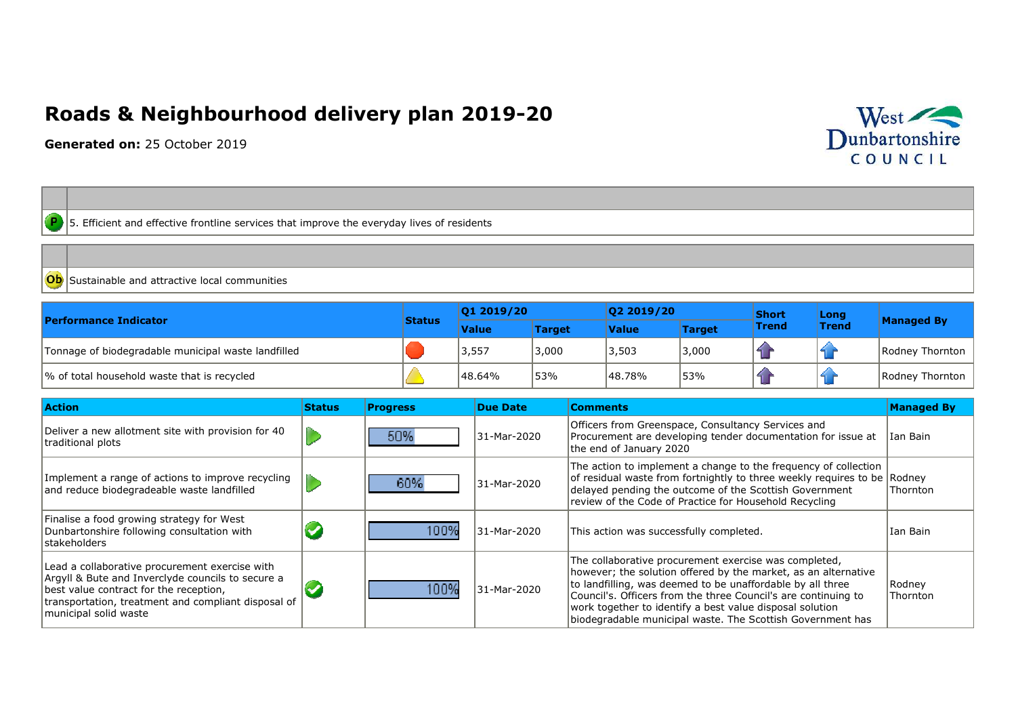## **Roads & Neighbourhood delivery plan 2019-20**

**Generated on:** 25 October 2019



 $\boxed{\text{P}}$  5. Efficient and effective frontline services that improve the everyday lives of residents

Sustainable and attractive local communities

| <b>Performance Indicator</b>                        |               | 01 2019/20   |               | 02 2019/20   |               | <b>Short</b> | Long         |                   |
|-----------------------------------------------------|---------------|--------------|---------------|--------------|---------------|--------------|--------------|-------------------|
|                                                     | <b>Status</b> | <b>Value</b> | <b>Target</b> | <b>Value</b> | <b>Target</b> | <b>Trend</b> | <b>Trend</b> | <b>Managed By</b> |
| Tonnage of biodegradable municipal waste landfilled |               | 3,557        | 3,000         | 3,503        | 3,000         |              |              | Rodney Thornton   |
| √ of total household waste that is recycled         |               | 48.64%       | 53%           | 48.78%       | 53%           |              |              | Rodney Thornton   |

| <b>Action</b>                                                                                                                                                                                                                 | <b>Status</b> | <b>Progress</b> | Due Date    | <b>Comments</b>                                                                                                                                                                                                                                                                                                                                                                   | <b>Managed By</b>  |
|-------------------------------------------------------------------------------------------------------------------------------------------------------------------------------------------------------------------------------|---------------|-----------------|-------------|-----------------------------------------------------------------------------------------------------------------------------------------------------------------------------------------------------------------------------------------------------------------------------------------------------------------------------------------------------------------------------------|--------------------|
| Deliver a new allotment site with provision for 40<br>traditional plots                                                                                                                                                       |               | 50%             | 31-Mar-2020 | Officers from Greenspace, Consultancy Services and<br>Procurement are developing tender documentation for issue at<br>the end of January 2020                                                                                                                                                                                                                                     | Ian Bain           |
| Implement a range of actions to improve recycling<br>and reduce biodegradeable waste landfilled                                                                                                                               |               | 60%             | 31-Mar-2020 | The action to implement a change to the frequency of collection<br>of residual waste from fortnightly to three weekly requires to be Rodney<br>delayed pending the outcome of the Scottish Government<br>review of the Code of Practice for Household Recycling                                                                                                                   | Thornton           |
| Finalise a food growing strategy for West<br>Dunbartonshire following consultation with<br><b>stakeholders</b>                                                                                                                |               | 100%            | 31-Mar-2020 | This action was successfully completed.                                                                                                                                                                                                                                                                                                                                           | Ian Bain           |
| Lead a collaborative procurement exercise with<br>Argyll & Bute and Inverclyde councils to secure a<br>best value contract for the reception,<br>transportation, treatment and compliant disposal of<br>municipal solid waste |               | 100%            | 31-Mar-2020 | The collaborative procurement exercise was completed,<br>however; the solution offered by the market, as an alternative<br>to landfilling, was deemed to be unaffordable by all three<br>Council's. Officers from the three Council's are continuing to<br>work together to identify a best value disposal solution<br>biodegradable municipal waste. The Scottish Government has | Rodney<br>Thornton |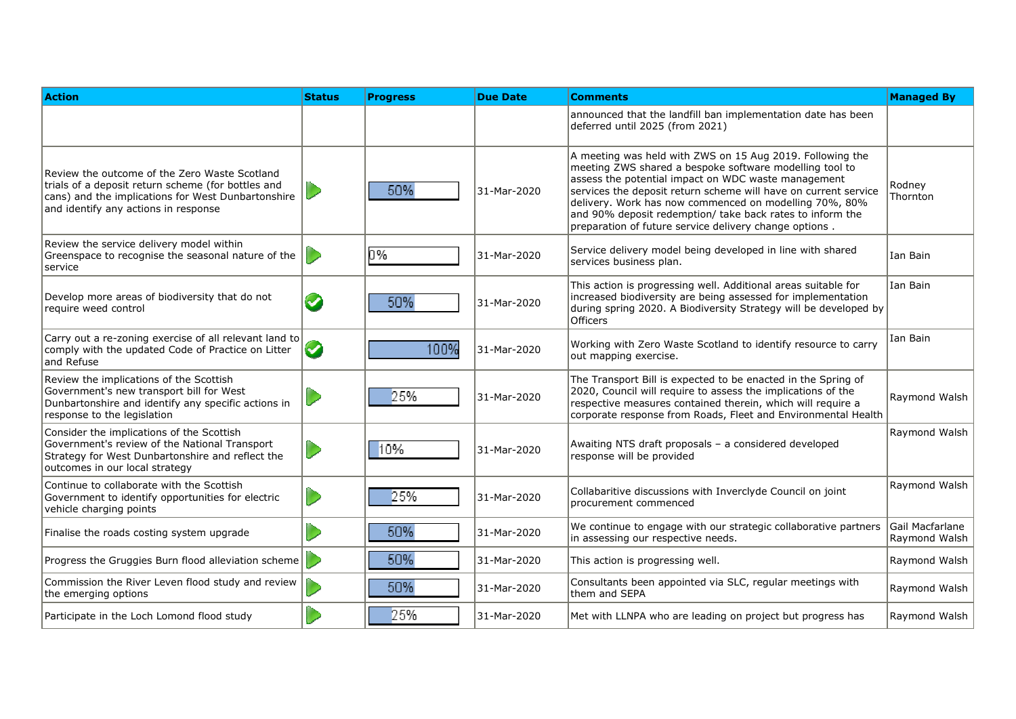| <b>Action</b>                                                                                                                                                                                     | <b>Status</b>   | <b>Progress</b> | <b>Due Date</b> | Comments                                                                                                                                                                                                                                                                                                                                                                                                                        | <b>Managed By</b>                |
|---------------------------------------------------------------------------------------------------------------------------------------------------------------------------------------------------|-----------------|-----------------|-----------------|---------------------------------------------------------------------------------------------------------------------------------------------------------------------------------------------------------------------------------------------------------------------------------------------------------------------------------------------------------------------------------------------------------------------------------|----------------------------------|
|                                                                                                                                                                                                   |                 |                 |                 | announced that the landfill ban implementation date has been<br>deferred until 2025 (from 2021)                                                                                                                                                                                                                                                                                                                                 |                                  |
| Review the outcome of the Zero Waste Scotland<br>trials of a deposit return scheme (for bottles and<br>cans) and the implications for West Dunbartonshire<br>and identify any actions in response |                 | 50%             | 31-Mar-2020     | A meeting was held with ZWS on 15 Aug 2019. Following the<br>meeting ZWS shared a bespoke software modelling tool to<br>assess the potential impact on WDC waste management<br>services the deposit return scheme will have on current service<br>delivery. Work has now commenced on modelling 70%, 80%<br>and 90% deposit redemption/ take back rates to inform the<br>preparation of future service delivery change options. | Rodnev<br>Thornton               |
| Review the service delivery model within<br>Greenspace to recognise the seasonal nature of the<br>service                                                                                         |                 | 0%              | 31-Mar-2020     | Service delivery model being developed in line with shared<br>services business plan.                                                                                                                                                                                                                                                                                                                                           | Ian Bain                         |
| Develop more areas of biodiversity that do not<br>require weed control                                                                                                                            | Ø               | 50%             | 31-Mar-2020     | This action is progressing well. Additional areas suitable for<br>increased biodiversity are being assessed for implementation<br>during spring 2020. A Biodiversity Strategy will be developed by<br><b>Officers</b>                                                                                                                                                                                                           | Ian Bain                         |
| Carry out a re-zoning exercise of all relevant land to<br>comply with the updated Code of Practice on Litter<br>and Refuse                                                                        | $\blacklozenge$ | 100%            | 31-Mar-2020     | Working with Zero Waste Scotland to identify resource to carry<br>out mapping exercise.                                                                                                                                                                                                                                                                                                                                         | Ian Bain                         |
| Review the implications of the Scottish<br>Government's new transport bill for West<br>Dunbartonshire and identify any specific actions in<br>response to the legislation                         |                 | 25%             | 31-Mar-2020     | The Transport Bill is expected to be enacted in the Spring of<br>2020, Council will require to assess the implications of the<br>respective measures contained therein, which will require a<br>corporate response from Roads, Fleet and Environmental Health                                                                                                                                                                   | Raymond Walsh                    |
| Consider the implications of the Scottish<br>Government's review of the National Transport<br>Strategy for West Dunbartonshire and reflect the<br>outcomes in our local strategy                  |                 | 10%             | 31-Mar-2020     | Awaiting NTS draft proposals - a considered developed<br>response will be provided                                                                                                                                                                                                                                                                                                                                              | Raymond Walsh                    |
| Continue to collaborate with the Scottish<br>Government to identify opportunities for electric<br>vehicle charging points                                                                         |                 | 25%             | 31-Mar-2020     | Collabaritive discussions with Inverclyde Council on joint<br>procurement commenced                                                                                                                                                                                                                                                                                                                                             | Raymond Walsh                    |
| Finalise the roads costing system upgrade                                                                                                                                                         |                 | 50%             | 31-Mar-2020     | We continue to engage with our strategic collaborative partners<br>in assessing our respective needs.                                                                                                                                                                                                                                                                                                                           | Gail Macfarlane<br>Ravmond Walsh |
| Progress the Gruggies Burn flood alleviation scheme                                                                                                                                               |                 | 50%             | 31-Mar-2020     | This action is progressing well.                                                                                                                                                                                                                                                                                                                                                                                                | Raymond Walsh                    |
| Commission the River Leven flood study and review<br>the emerging options                                                                                                                         |                 | 50%             | 31-Mar-2020     | Consultants been appointed via SLC, regular meetings with<br>them and SEPA                                                                                                                                                                                                                                                                                                                                                      | Raymond Walsh                    |
| Participate in the Loch Lomond flood study                                                                                                                                                        |                 | 25%             | 31-Mar-2020     | Met with LLNPA who are leading on project but progress has                                                                                                                                                                                                                                                                                                                                                                      | Raymond Walsh                    |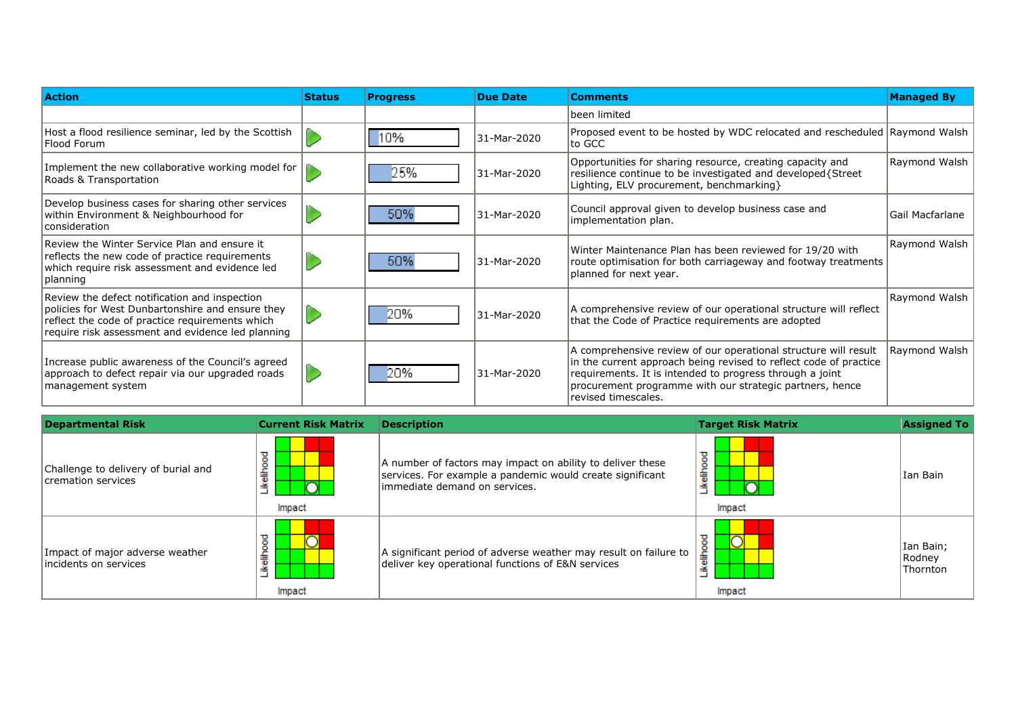| <b>Action</b>                                                                                                                                                                                             | <b>Status</b> | <b>Progress</b> | <b>Due Date</b> | <b>Comments</b>                                                                                                                                                                                                                                                                     | <b>Managed By</b> |
|-----------------------------------------------------------------------------------------------------------------------------------------------------------------------------------------------------------|---------------|-----------------|-----------------|-------------------------------------------------------------------------------------------------------------------------------------------------------------------------------------------------------------------------------------------------------------------------------------|-------------------|
|                                                                                                                                                                                                           |               |                 |                 | been limited                                                                                                                                                                                                                                                                        |                   |
| Host a flood resilience seminar, led by the Scottish<br>Flood Forum                                                                                                                                       |               | 10%             | 31-Mar-2020     | Proposed event to be hosted by WDC relocated and rescheduled Raymond Walsh<br>to GCC                                                                                                                                                                                                |                   |
| Implement the new collaborative working model for<br>Roads & Transportation                                                                                                                               |               | 25%             | 31-Mar-2020     | Opportunities for sharing resource, creating capacity and<br>resilience continue to be investigated and developed{Street<br>Lighting, ELV procurement, benchmarking }                                                                                                               | Raymond Walsh     |
| Develop business cases for sharing other services<br>within Environment & Neighbourhood for<br>consideration                                                                                              |               | 50%             | 31-Mar-2020     | Council approval given to develop business case and<br>implementation plan.                                                                                                                                                                                                         | Gail Macfarlane   |
| Review the Winter Service Plan and ensure it<br>reflects the new code of practice requirements<br>which require risk assessment and evidence led<br> planning                                             |               | 50%             | 31-Mar-2020     | Winter Maintenance Plan has been reviewed for 19/20 with<br>route optimisation for both carriageway and footway treatments<br>planned for next year.                                                                                                                                | Raymond Walsh     |
| Review the defect notification and inspection<br>policies for West Dunbartonshire and ensure they<br>reflect the code of practice requirements which<br>require risk assessment and evidence led planning |               | 20%             | 31-Mar-2020     | A comprehensive review of our operational structure will reflect<br>that the Code of Practice requirements are adopted                                                                                                                                                              | Raymond Walsh     |
| Increase public awareness of the Council's agreed<br>approach to defect repair via our upgraded roads<br>management system                                                                                |               | 20%             | 31-Mar-2020     | A comprehensive review of our operational structure will result<br>in the current approach being revised to reflect code of practice<br>requirements. It is intended to progress through a joint<br>procurement programme with our strategic partners, hence<br>revised timescales. | Raymond Walsh     |

| <b>Departmental Risk</b>                                  | <b>Current Risk Matrix</b> | <b>Description</b>                                                                                                                                       | <b>Target Risk Matrix</b>         | <b>Assigned To</b>              |
|-----------------------------------------------------------|----------------------------|----------------------------------------------------------------------------------------------------------------------------------------------------------|-----------------------------------|---------------------------------|
| Challenge to delivery of burial and<br>cremation services | ikelihoo<br>Impact         | A number of factors may impact on ability to deliver these<br>services. For example a pandemic would create significant<br>immediate demand on services. | $\circ$<br>$\circ$<br>듷<br>Impact | Ian Bain                        |
| Impact of major adverse weather<br>lincidents on services | eilhoo<br>÷<br>Impact      | A significant period of adverse weather may result on failure to<br>deliver key operational functions of E&N services                                    | 흛<br>Impact                       | Ian Bain;<br>Rodney<br>Thornton |